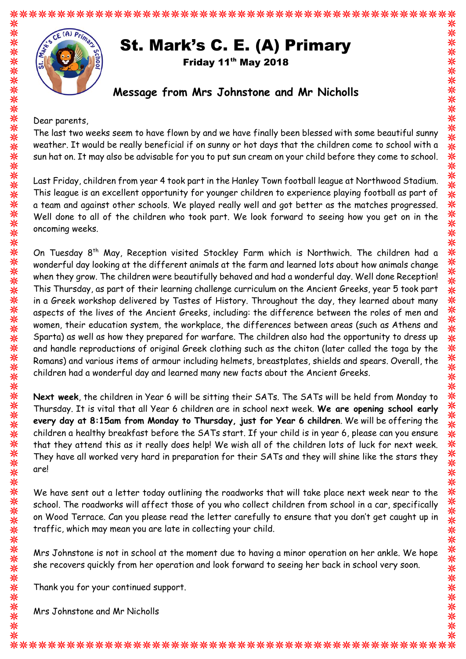# St. Mark's C. E. (A) Primary

Friday 11<sup>th</sup> May 2018

## **Message from Mrs Johnstone and Mr Nicholls**

Dear parents,

米米

米米

米米米米米米米

米米米米

米米米米米米

\*\*\*

米米米米

<mark>⋇</mark>

米米米

⋇ 家

米米~

The last two weeks seem to have flown by and we have finally been blessed with some beautiful sunny weather. It would be really beneficial if on sunny or hot days that the children come to school with a sun hat on. It may also be advisable for you to put sun cream on your child before they come to school.

Last Friday, children from year 4 took part in the Hanley Town football league at Northwood Stadium. This league is an excellent opportunity for younger children to experience playing football as part of a team and against other schools. We played really well and got better as the matches progressed. Well done to all of the children who took part. We look forward to seeing how you get on in the oncoming weeks.

On Tuesday 8th May, Reception visited Stockley Farm which is Northwich. The children had a wonderful day looking at the different animals at the farm and learned lots about how animals change when they grow. The children were beautifully behaved and had a wonderful day. Well done Reception! This Thursday, as part of their learning challenge curriculum on the Ancient Greeks, year 5 took part in a Greek workshop delivered by Tastes of History. Throughout the day, they learned about many aspects of the lives of the Ancient Greeks, including: the difference between the roles of men and women, their education system, the workplace, the differences between areas (such as Athens and Sparta) as well as how they prepared for warfare. The children also had the opportunity to dress up and handle reproductions of original Greek clothing such as the chiton (later called the toga by the Romans) and various items of armour including helmets, breastplates, shields and spears. Overall, the children had a wonderful day and learned many new facts about the Ancient Greeks.

**Next week**, the children in Year 6 will be sitting their SATs. The SATs will be held from Monday to Thursday. It is vital that all Year 6 children are in school next week. **We are opening school early every day at 8:15am from Monday to Thursday, just for Year 6 children**. We will be offering the children a healthy breakfast before the SATs start. If your child is in year 6, please can you ensure that they attend this as it really does help! We wish all of the children lots of luck for next week. They have all worked very hard in preparation for their SATs and they will shine like the stars they are!

We have sent out a letter today outlining the roadworks that will take place next week near to the school. The roadworks will affect those of you who collect children from school in a car, specifically on Wood Terrace. Can you please read the letter carefully to ensure that you don't get caught up in traffic, which may mean you are late in collecting your child.

Mrs Johnstone is not in school at the moment due to having a minor operation on her ankle. We hope she recovers quickly from her operation and look forward to seeing her back in school very soon.

Thank you for your continued support.

Mrs Johnstone and Mr Nicholls